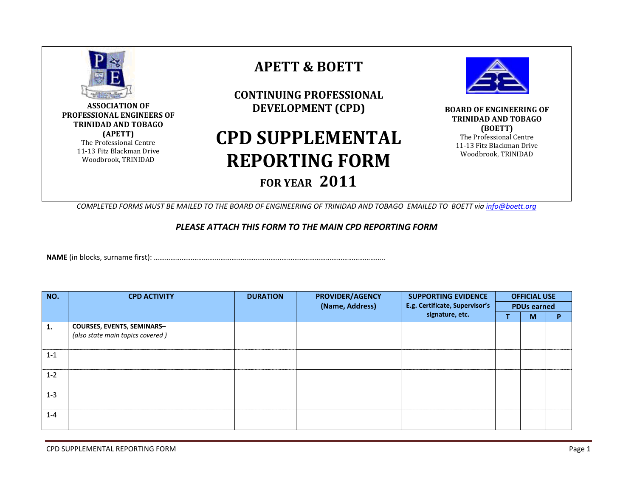

**ASSOCIATION OF PROFESSIONAL ENGINEERS OF TRINIDAD AND TOBAGO (APETT)** The Professional Centre 11-13 Fitz Blackman Drive Woodbrook, TRINIDAD

## **APETT & BOETT**

**CONTINUING PROFESSIONAL DEVELOPMENT (CPD)**

## **CPD SUPPLEMENTAL REPORTING FORM FOR YEAR 2011**



**BOARD OF ENGINEERING OF TRINIDAD AND TOBAGO (BOETT)** The Professional Centre 11-13 Fitz Blackman Drive Woodbrook, TRINIDAD

*COMPLETED FORMS MUST BE MAILED TO THE BOARD OF ENGINEERING OF TRINIDAD AND TOBAGO EMAILED TO BOETT via [info@boett.org](mailto:info@boett.org)*

## *PLEASE ATTACH THIS FORM TO THE MAIN CPD REPORTING FORM*

**NAME** (in blocks, surname first): ……………………………………………………………………………………………………………..

| NO.     | <b>CPD ACTIVITY</b>               | <b>DURATION</b> | <b>PROVIDER/AGENCY</b> | <b>SUPPORTING EVIDENCE</b>                        | <b>OFFICIAL USE</b><br><b>PDUs earned</b> |   |   |
|---------|-----------------------------------|-----------------|------------------------|---------------------------------------------------|-------------------------------------------|---|---|
|         |                                   |                 | (Name, Address)        | E.g. Certificate, Supervisor's<br>signature, etc. |                                           |   |   |
|         |                                   |                 |                        |                                                   |                                           | м | D |
| 1.      | <b>COURSES, EVENTS, SEMINARS-</b> |                 |                        |                                                   |                                           |   |   |
|         | (also state main topics covered)  |                 |                        |                                                   |                                           |   |   |
|         |                                   |                 |                        |                                                   |                                           |   |   |
| $1 - 1$ |                                   |                 |                        |                                                   |                                           |   |   |
|         |                                   |                 |                        |                                                   |                                           |   |   |
| $1 - 2$ |                                   |                 |                        |                                                   |                                           |   |   |
|         |                                   |                 |                        |                                                   |                                           |   |   |
| $1 - 3$ |                                   |                 |                        |                                                   |                                           |   |   |
|         |                                   |                 |                        |                                                   |                                           |   |   |
|         |                                   |                 |                        |                                                   |                                           |   |   |
| $1 - 4$ |                                   |                 |                        |                                                   |                                           |   |   |
|         |                                   |                 |                        |                                                   |                                           |   |   |